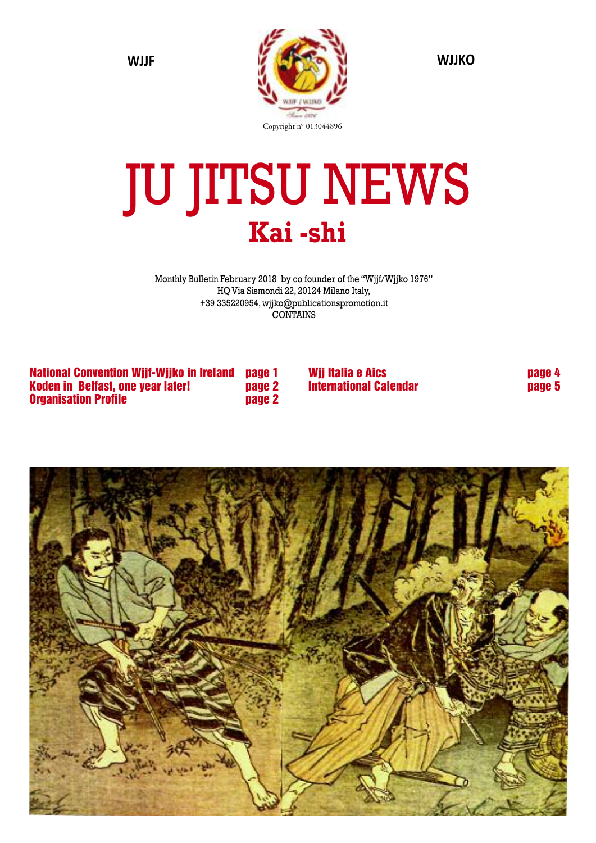

# JU JITSU NEWS **Kai -shi**

Monthly Bulletin February 2018 by co founder of the "Wjjf/Wjjko 1976" HQ Via Sismondi 22, 20124 Milano Italy, +39 335220954, wjjko@publicationspromotion.it CONTAINS

**National Convention Wjjf-Wjjko in Ireland page 1 Koden in Belfast, one year later! page 2 Organisation Profile page 2**

**Wjj Italia e Aics page 4 International Calendar page 5**

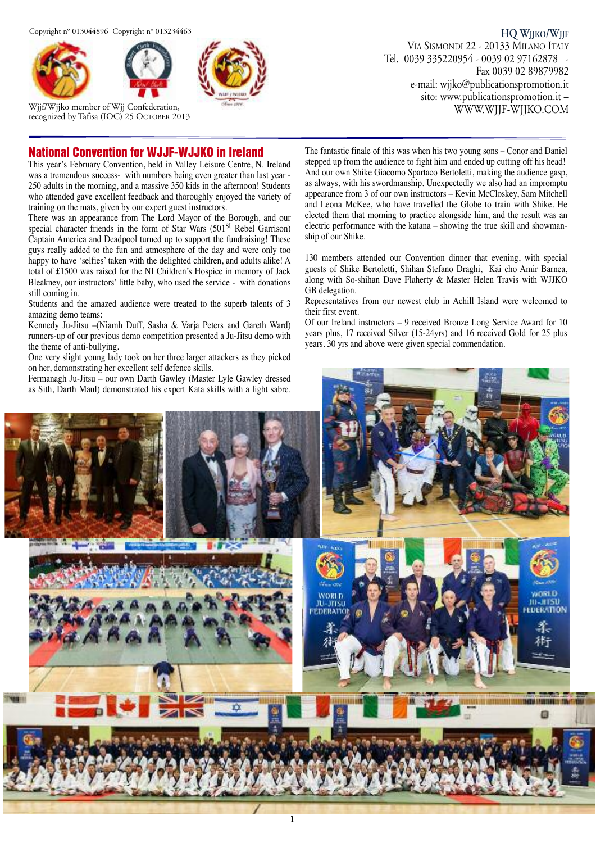



Wjjf/Wjjko member of Wjj Confederation, recognized by Tafisa (IOC) 25 OCTOBER 2013

**HQ WJJKO/WJJF** VIA SISMONDI 22 - 20133 MILANO ITALY Tel. 0039 335220954 - 0039 02 97162878 - Fax 0039 02 89879982 e-mail: wjjko@publicationspromotion.it sito: www.publicationspromotion.it – WWW.WJJF-WJJKO.COM

#### **National Convention for WJJF-WJJKO in Ireland**

This year's February Convention, held in Valley Leisure Centre, N. Ireland was a tremendous success- with numbers being even greater than last year -250 adults in the morning, and a massive 350 kids in the afternoon! Students who attended gave excellent feedback and thoroughly enjoyed the variety of training on the mats, given by our expert guest instructors.

There was an appearance from The Lord Mayor of the Borough, and our special character friends in the form of Star Wars (501<sup>st</sup> Rebel Garrison) Captain America and Deadpool turned up to support the fundraising! These guys really added to the fun and atmosphere of the day and were only too happy to have 'selfies' taken with the delighted children, and adults alike! A total of £1500 was raised for the NI Children's Hospice in memory of Jack Bleakney, our instructors' little baby, who used the service - with donations still coming in.

Students and the amazed audience were treated to the superb talents of 3 amazing demo teams:

Kennedy Ju-Jitsu –(Niamh Duff, Sasha & Varja Peters and Gareth Ward) runners-up of our previous demo competition presented a Ju-Jitsu demo with the theme of anti-bullying.

One very slight young lady took on her three larger attackers as they picked on her, demonstrating her excellent self defence skills.

Fermanagh Ju-Jitsu – our own Darth Gawley (Master Lyle Gawley dressed as Sith, Darth Maul) demonstrated his expert Kata skills with a light sabre. The fantastic finale of this was when his two young sons – Conor and Daniel stepped up from the audience to fight him and ended up cutting off his head! And our own Shike Giacomo Spartaco Bertoletti, making the audience gasp, as always, with his swordmanship. Unexpectedly we also had an impromptu appearance from 3 of our own instructors – Kevin McCloskey, Sam Mitchell and Leona McKee, who have travelled the Globe to train with Shike. He elected them that morning to practice alongside him, and the result was an electric performance with the katana – showing the true skill and showmanship of our Shike.

130 members attended our Convention dinner that evening, with special guests of Shike Bertoletti, Shihan Stefano Draghi, Kai cho Amir Barnea, along with So-shihan Dave Flaherty & Master Helen Travis with WJJKO GB delegation.

Representatives from our newest club in Achill Island were welcomed to their first event.

Of our Ireland instructors – 9 received Bronze Long Service Award for 10 years plus, 17 received Silver (15-24yrs) and 16 received Gold for 25 plus years. 30 yrs and above were given special commendation.

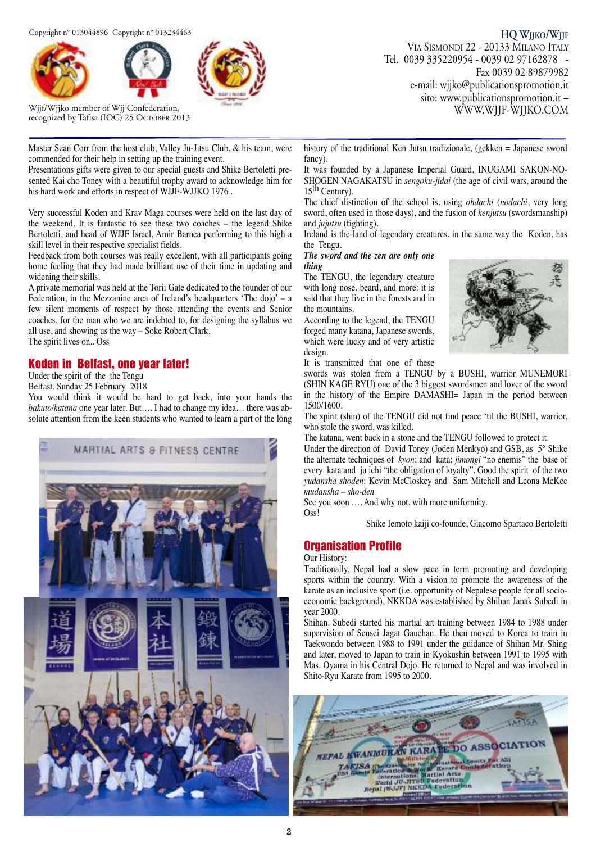



Wjjf/Wjjko member of Wjj Confederation, recognized by Tafisa (IOC) 25 OCTOBER 2013

Master Sean Corr from the host club, Valley Ju-Jitsu Club, & his team, were commended for their help in setting up the training event.

Presentations gifts were given to our special guests and Shike Bertoletti presented Kai cho Toney with a beautiful trophy award to acknowledge him for his hard work and efforts in respect of WJJF-WJJKO 1976 .

Very successful Koden and Krav Maga courses were held on the last day of the weekend. It is fantastic to see these two coaches – the legend Shike Bertoletti, and head of WJJF Israel, Amir Barnea performing to this high a skill level in their respective specialist fields.

Feedback from both courses was really excellent, with all participants going home feeling that they had made brilliant use of their time in updating and widening their skills.

A private memorial was held at the Torii Gate dedicated to the founder of our Federation, in the Mezzanine area of Ireland's headquarters 'The dojo' – a few silent moments of respect by those attending the events and Senior coaches, for the man who we are indebted to, for designing the syllabus we all use, and showing us the way – Soke Robert Clark.

The spirit lives on.. Oss

#### **Koden in Belfast, one year later!**

Under the spirit of the the Tengu

Belfast, Sunday 25 February 2018

You would think it would be hard to get back, into your hands the *bakuto/katana* one year later. But…. I had to change my idea… there was absolute attention from the keen students who wanted to learn a part of the long



**HQ WJJKO/WJJF** VIA SISMONDI 22 - 20133 MILANO ITALY Tel. 0039 335220954 - 0039 02 97162878 - Fax 0039 02 89879982 e-mail: wjjko@publicationspromotion.it sito: www.publicationspromotion.it – WWW.WJJF-WJJKO.COM

history of the traditional Ken Jutsu tradizionale, (gekken = Japanese sword fancy).

It was founded by a Japanese Imperial Guard, INUGAMI SAKON-NO-SHOGEN NAGAKATSU in *sengoku*-*jidai* (the age of civil wars, around the  $15<sup>th</sup>$  Century).

The chief distinction of the school is, using *ohdachi* (*nodachi*, very long sword, often used in those days), and the fusion of *kenjutsu* (swordsmanship) and *jujutsu* (fighting).

Ireland is the land of legendary creatures, in the same way the Koden, has the Tengu.

#### *The sword and the zen are only one thing*

The TENGU, the legendary creature with long nose, beard, and more: it is said that they live in the forests and in the mountains.

According to the legend, the TENGU forged many katana, Japanese swords, which were lucky and of very artistic design.



It is transmitted that one of these swords was stolen from a TENGU by a BUSHI, warrior MUNEMORI (SHIN KAGE RYU) one of the 3 biggest swordsmen and lover of the sword in the history of the Empire DAMASHI= Japan in the period between 1500/1600.

The spirit (shin) of the TENGU did not find peace 'til the BUSHI, warrior, who stole the sword, was killed.

The katana, went back in a stone and the TENGU followed to protect it.

Under the direction of David Toney (Joden Menkyo) and GSB, as 5° Shike the alternate techniques of *kyon*; and kata; *jimongi* "no enemis" the base of every kata and ju ichi "the obligation of loyalty". Good the spirit of the two *yudansha shoden*: Kevin McCloskey and Sam Mitchell and Leona McKee *mudansha – sho-den*

See you soon …. And why not, with more uniformity.

Oss!

Shike Iemoto kaiji co-founde, Giacomo Spartaco Bertoletti

#### **Organisation Profile**

Our History:

Traditionally, Nepal had a slow pace in term promoting and developing sports within the country. With a vision to promote the awareness of the karate as an inclusive sport (i.e. opportunity of Nepalese people for all socioeconomic background), NKKDA was established by Shihan Janak Subedi in year 2000.

Shihan. Subedi started his martial art training between 1984 to 1988 under supervision of Sensei Jagat Gauchan. He then moved to Korea to train in Taekwondo between 1988 to 1991 under the guidance of Shihan Mr. Shing and later, moved to Japan to train in Kyokushin between 1991 to 1995 with Mas. Oyama in his Central Dojo. He returned to Nepal and was involved in Shito-Ryu Karate from 1995 to 2000.

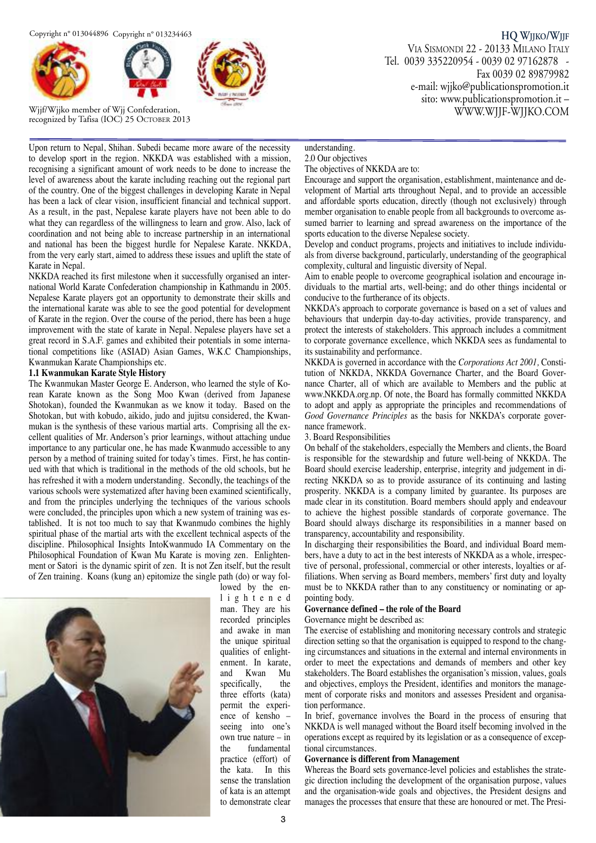



Wjjf/Wjjko member of Wjj Confederation, recognized by Tafisa (IOC) 25 OCTOBER 2013

**HQ WJJKO/WJJF** VIA SISMONDI 22 - 20133 MILANO ITALY Tel. 0039 335220954 - 0039 02 97162878 - Fax 0039 02 89879982 e-mail: wjjko@publicationspromotion.it sito: www.publicationspromotion.it – WWW.WJJF-WJJKO.COM

Upon return to Nepal, Shihan. Subedi became more aware of the necessity to develop sport in the region. NKKDA was established with a mission, recognising a significant amount of work needs to be done to increase the level of awareness about the karate including reaching out the regional part of the country. One of the biggest challenges in developing Karate in Nepal has been a lack of clear vision, insufficient financial and technical support. As a result, in the past, Nepalese karate players have not been able to do what they can regardless of the willingness to learn and grow. Also, lack of coordination and not being able to increase partnership in an international and national has been the biggest hurdle for Nepalese Karate. NKKDA, from the very early start, aimed to address these issues and uplift the state of Karate in Nepal.

NKKDA reached its first milestone when it successfully organised an international World Karate Confederation championship in Kathmandu in 2005. Nepalese Karate players got an opportunity to demonstrate their skills and the international karate was able to see the good potential for development of Karate in the region. Over the course of the period, there has been a huge improvement with the state of karate in Nepal. Nepalese players have set a great record in S.A.F. games and exhibited their potentials in some international competitions like (ASIAD) Asian Games, W.K.C Championships, Kwanmukan Karate Championships etc.

#### **1.1 Kwanmukan Karate Style History**

The Kwanmukan Master George E. Anderson, who learned the style of Korean Karate known as the Song Moo Kwan (derived from Japanese Shotokan), founded the Kwanmukan as we know it today. Based on the Shotokan, but with kobudo, aikido, judo and jujitsu considered, the Kwanmukan is the synthesis of these various martial arts. Comprising all the excellent qualities of Mr. Anderson's prior learnings, without attaching undue importance to any particular one, he has made Kwanmudo accessible to any person by a method of training suited for today's times. First, he has continued with that which is traditional in the methods of the old schools, but he has refreshed it with a modern understanding. Secondly, the teachings of the various schools were systematized after having been examined scientifically, and from the principles underlying the techniques of the various schools were concluded, the principles upon which a new system of training was established. It is not too much to say that Kwanmudo combines the highly spiritual phase of the martial arts with the excellent technical aspects of the discipline. Philosophical Insights IntoKwanmudo IA Commentary on the Philosophical Foundation of Kwan Mu Karate is moving zen. Enlightenment or Satori is the dynamic spirit of zen. It is not Zen itself, but the result of Zen training. Koans (kung an) epitomize the single path (do) or way fol-



lowed by the enl i g h t e n e d man. They are his recorded principles and awake in man the unique spiritual qualities of enlightenment. In karate, and Kwan Mu specifically, the three efforts (kata) permit the experience of kensho – seeing into one's own true nature – in the fundamental practice (effort) of the kata. In this sense the translation of kata is an attempt to demonstrate clear

#### understanding. 2.0 Our objectives

#### The objectives of NKKDA are to:

Encourage and support the organisation, establishment, maintenance and development of Martial arts throughout Nepal, and to provide an accessible and affordable sports education, directly (though not exclusively) through member organisation to enable people from all backgrounds to overcome assumed barrier to learning and spread awareness on the importance of the sports education to the diverse Nepalese society.

Develop and conduct programs, projects and initiatives to include individuals from diverse background, particularly, understanding of the geographical complexity, cultural and linguistic diversity of Nepal.

Aim to enable people to overcome geographical isolation and encourage individuals to the martial arts, well-being; and do other things incidental or conducive to the furtherance of its objects.

NKKDA's approach to corporate governance is based on a set of values and behaviours that underpin day-to-day activities, provide transparency, and protect the interests of stakeholders. This approach includes a commitment to corporate governance excellence, which NKKDA sees as fundamental to its sustainability and performance.

NKKDA is governed in accordance with the *Corporations Act 2001,* Constitution of NKKDA, NKKDA Governance Charter, and the Board Governance Charter, all of which are available to Members and the public at www.NKKDA.org.np. Of note, the Board has formally committed NKKDA to adopt and apply as appropriate the principles and recommendations of *Good Governance Principles* as the basis for NKKDA's corporate governance framework.

#### 3. Board Responsibilities

On behalf of the stakeholders, especially the Members and clients, the Board is responsible for the stewardship and future well-being of NKKDA. The Board should exercise leadership, enterprise, integrity and judgement in directing NKKDA so as to provide assurance of its continuing and lasting prosperity. NKKDA is a company limited by guarantee. Its purposes are made clear in its constitution. Board members should apply and endeavour to achieve the highest possible standards of corporate governance. The Board should always discharge its responsibilities in a manner based on transparency, accountability and responsibility.

In discharging their responsibilities the Board, and individual Board members, have a duty to act in the best interests of NKKDA as a whole, irrespective of personal, professional, commercial or other interests, loyalties or affiliations. When serving as Board members, members' first duty and loyalty must be to NKKDA rather than to any constituency or nominating or appointing body.

#### **Governance defined – the role of the Board**

Governance might be described as:

The exercise of establishing and monitoring necessary controls and strategic direction setting so that the organisation is equipped to respond to the changing circumstances and situations in the external and internal environments in order to meet the expectations and demands of members and other key stakeholders. The Board establishes the organisation's mission, values, goals and objectives, employs the President, identifies and monitors the management of corporate risks and monitors and assesses President and organisation performance.

In brief, governance involves the Board in the process of ensuring that NKKDA is well managed without the Board itself becoming involved in the operations except as required by its legislation or as a consequence of exceptional circumstances.

#### **Governance is different from Management**

Whereas the Board sets governance-level policies and establishes the strategic direction including the development of the organisation purpose, values and the organisation-wide goals and objectives, the President designs and manages the processes that ensure that these are honoured or met. The Presi-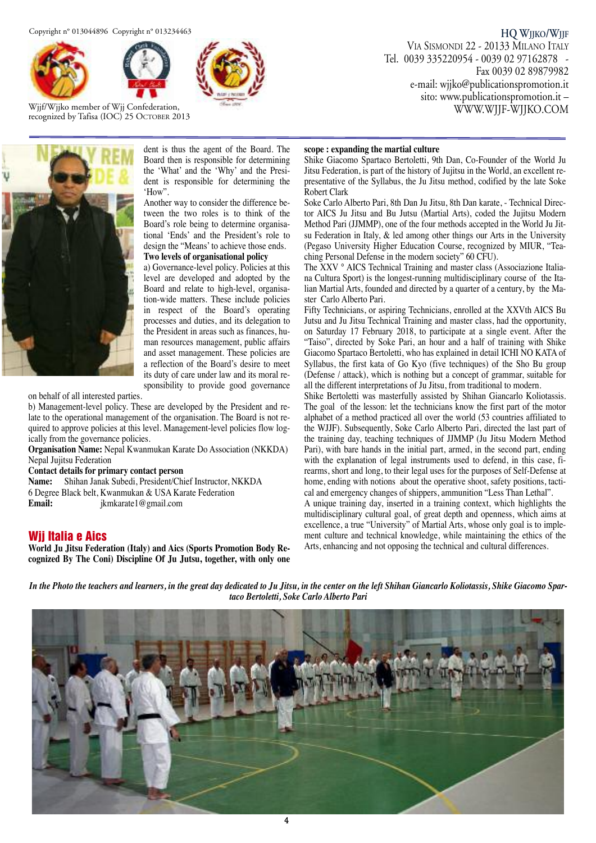



Wjjf/Wjjko member of Wjj Confederation, recognized by Tafisa (IOC) 25 OCTOBER 2013



dent is thus the agent of the Board. The Board then is responsible for determining the 'What' and the 'Why' and the President is responsible for determining the 'How".

Another way to consider the difference between the two roles is to think of the Board's role being to determine organisational 'Ends' and the President's role to design the "Means' to achieve those ends. **Two levels of organisational policy**

a) Governance-level policy. Policies at this level are developed and adopted by the Board and relate to high-level, organisation-wide matters. These include policies in respect of the Board's operating processes and duties, and its delegation to the President in areas such as finances, human resources management, public affairs and asset management. These policies are a reflection of the Board's desire to meet its duty of care under law and its moral responsibility to provide good governance

on behalf of all interested parties.

b) Management-level policy. These are developed by the President and relate to the operational management of the organisation. The Board is not required to approve policies at this level. Management-level policies flow logically from the governance policies.

**Organisation Name:** Nepal Kwanmukan Karate Do Association (NKKDA) Nepal Jujitsu Federation

**Contact details for primary contact person**

**Name:** Shihan Janak Subedi, President/Chief Instructor, NKKDA 6 Degree Black belt, Kwanmukan & USA Karate Federation **Email:** jkmkarate1@gmail.com

#### **Wjj Italia e Aics**

**World Ju Jitsu Federation (Italy) and Aics (Sports Promotion Body Recognized By The Coni) Discipline Of Ju Jutsu, together, with only one**

#### **scope : expanding the martial culture**

Shike Giacomo Spartaco Bertoletti, 9th Dan, Co-Founder of the World Ju Jitsu Federation, is part of the history of Jujitsu in the World, an excellent representative of the Syllabus, the Ju Jitsu method, codified by the late Soke Robert Clark

Soke Carlo Alberto Pari, 8th Dan Ju Jitsu, 8th Dan karate, - Technical Director AICS Ju Jitsu and Bu Jutsu (Martial Arts), coded the Jujitsu Modern Method Pari (JJMMP), one of the four methods accepted in the World Ju Jitsu Federation in Italy, & led among other things our Arts in the University (Pegaso University Higher Education Course, recognized by MIUR, "Teaching Personal Defense in the modern society" 60 CFU).

The XXV ° AICS Technical Training and master class (Associazione Italiana Cultura Sport) is the longest-running multidisciplinary course of the Italian Martial Arts, founded and directed by a quarter of a century, by the Master Carlo Alberto Pari.

Fifty Technicians, or aspiring Technicians, enrolled at the XXVth AICS Bu Jutsu and Ju Jitsu Technical Training and master class, had the opportunity, on Saturday 17 February 2018, to participate at a single event. After the "Taiso", directed by Soke Pari, an hour and a half of training with Shike Giacomo Spartaco Bertoletti, who has explained in detail ICHI NO KATA of Syllabus, the first kata of Go Kyo (five techniques) of the Sho Bu group (Defense / attack), which is nothing but a concept of grammar, suitable for all the different interpretations of Ju Jitsu, from traditional to modern.

Shike Bertoletti was masterfully assisted by Shihan Giancarlo Koliotassis. The goal of the lesson: let the technicians know the first part of the motor alphabet of a method practiced all over the world (53 countries affiliated to the WJJF). Subsequently, Soke Carlo Alberto Pari, directed the last part of the training day, teaching techniques of JJMMP (Ju Jitsu Modern Method Pari), with bare hands in the initial part, armed, in the second part, ending with the explanation of legal instruments used to defend, in this case, firearms, short and long, to their legal uses for the purposes of Self-Defense at home, ending with notions about the operative shoot, safety positions, tactical and emergency changes of shippers, ammunition "Less Than Lethal".

A unique training day, inserted in a training context, which highlights the multidisciplinary cultural goal, of great depth and openness, which aims at excellence, a true "University" of Martial Arts, whose only goal is to implement culture and technical knowledge, while maintaining the ethics of the Arts, enhancing and not opposing the technical and cultural differences.

In the Photo the teachers and learners, in the great day dedicated to Ju Jitsu, in the center on the left Shihan Giancarlo Koliotassis, Shike Giacomo Spar*taco Bertoletti, Soke Carlo Alberto Pari*



**HQ WJJKO/WJJF** VIA SISMONDI 22 - 20133 MILANO ITALY Tel. 0039 335220954 - 0039 02 97162878 - Fax 0039 02 89879982 e-mail: wjjko@publicationspromotion.it sito: www.publicationspromotion.it –

WWW.WJJF-WJJKO.COM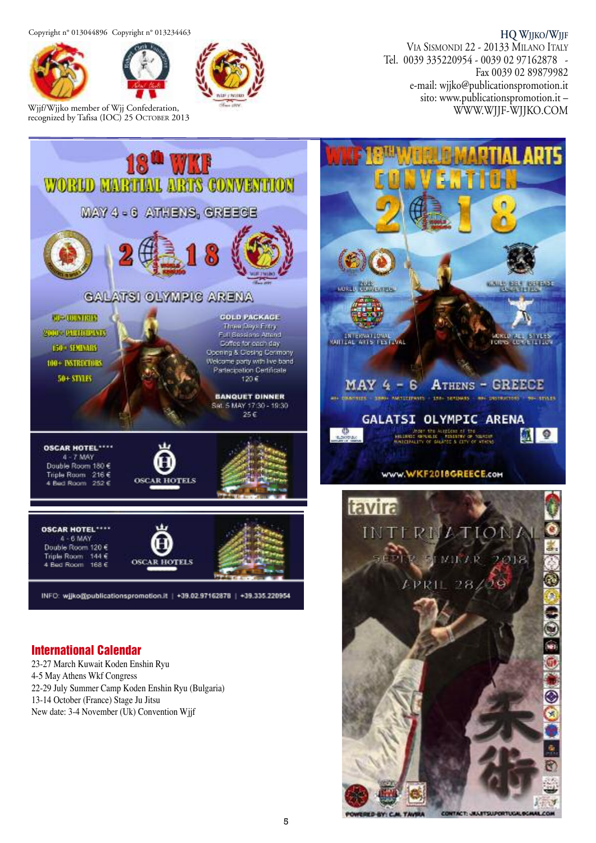#### **HQ WJJKO/WJJF**



Wjjf/Wjjko member of Wjj Confederation, recognized by Tafisa (IOC) 25 OCTOBER 2013

VIA SISMONDI 22 - 20133 MILANO ITALY Tel. 0039 335220954 - 0039 02 97162878 - Fax 0039 02 89879982 e-mail: wjjko@publicationspromotion.it sito: www.publicationspromotion.it – WWW.WJJF-WJJKO.COM



### **International Calendar**

23-27 March Kuwait Koden Enshin Ryu 4-5 May Athens Wkf Congress 22-29 July Summer Camp Koden Enshin Ryu (Bulgaria) 13-14 October (France) Stage Ju Jitsu New date: 3-4 November (Uk) Convention Wjjf



CONTACT: JAULITSUPORTUGALISCH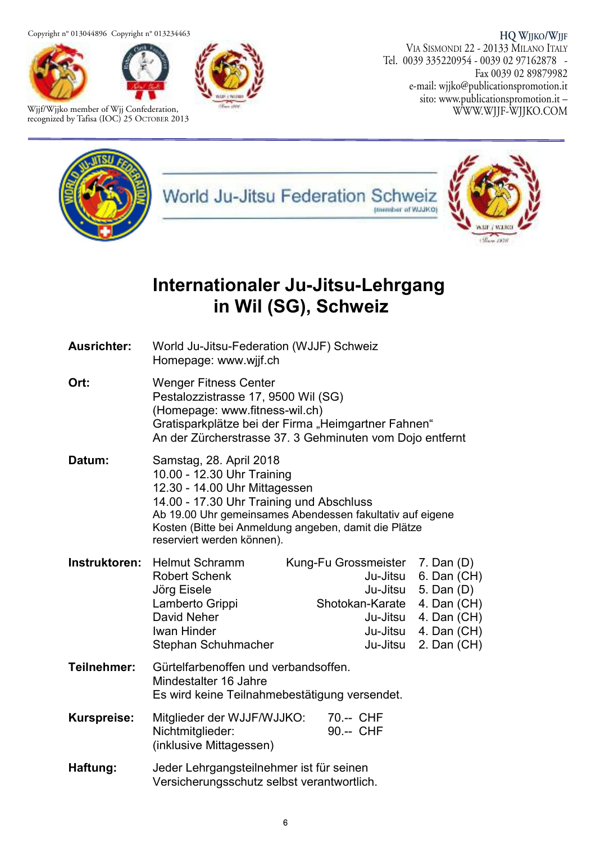



Wjjf/Wjjko member of Wjj Confederation, recognized by Tafisa (IOC) 25 OCTOBER 2013

**HQ WJJKO/WJJF** VIA SISMONDI 22 - 20133 MILANO ITALY Tel. 0039 335220954 - 0039 02 97162878 - Fax 0039 02 89879982 e-mail: wjjko@publicationspromotion.it sito: www.publicationspromotion.it – WWW.WJJF-WJJKO.COM



## **Internationaler Ju-Jitsu-Lehrgang in Wil (SG), Schweiz**

| <b>Ausrichter:</b> | World Ju-Jitsu-Federation (WJJF) Schweiz<br>Homepage: www.wjjf.ch                                                                                                                                                                                                                      |                                                                                         |                                                                                                                    |
|--------------------|----------------------------------------------------------------------------------------------------------------------------------------------------------------------------------------------------------------------------------------------------------------------------------------|-----------------------------------------------------------------------------------------|--------------------------------------------------------------------------------------------------------------------|
| Ort:               | <b>Wenger Fitness Center</b><br>Pestalozzistrasse 17, 9500 Wil (SG)<br>(Homepage: www.fitness-wil.ch)<br>Gratisparkplätze bei der Firma "Heimgartner Fahnen"<br>An der Zürcherstrasse 37. 3 Gehminuten vom Dojo entfernt                                                               |                                                                                         |                                                                                                                    |
| Datum:             | Samstag, 28. April 2018<br>10.00 - 12.30 Uhr Training<br>12.30 - 14.00 Uhr Mittagessen<br>14.00 - 17.30 Uhr Training und Abschluss<br>Ab 19.00 Uhr gemeinsames Abendessen fakultativ auf eigene<br>Kosten (Bitte bei Anmeldung angeben, damit die Plätze<br>reserviert werden können). |                                                                                         |                                                                                                                    |
| Instruktoren:      | <b>Helmut Schramm</b><br><b>Robert Schenk</b><br>Jörg Eisele<br>Lamberto Grippi<br>David Neher<br><b>Iwan Hinder</b><br>Stephan Schuhmacher                                                                                                                                            | Kung-Fu Grossmeister<br>Ju-Jitsu<br>Shotokan-Karate<br>Ju-Jitsu<br>Ju-Jitsu<br>Ju-Jitsu | $7.$ Dan $(D)$<br>6. Dan (CH)<br>Ju-Jitsu 5. Dan (D)<br>4. Dan (CH)<br>4. Dan (CH)<br>4. Dan (CH)<br>2. Dan $(CH)$ |
| Teilnehmer:        | Gürtelfarbenoffen und verbandsoffen.<br>Mindestalter 16 Jahre<br>Es wird keine Teilnahmebestätigung versendet.                                                                                                                                                                         |                                                                                         |                                                                                                                    |
| <b>Kurspreise:</b> | Mitglieder der WJJF/WJJKO:<br>Nichtmitglieder:<br>(inklusive Mittagessen)                                                                                                                                                                                                              | 70 .-- CHF<br>90.-- CHF                                                                 |                                                                                                                    |
| Haftung:           | Jeder Lehrgangsteilnehmer ist für seinen<br>Versicherungsschutz selbst verantwortlich.                                                                                                                                                                                                 |                                                                                         |                                                                                                                    |